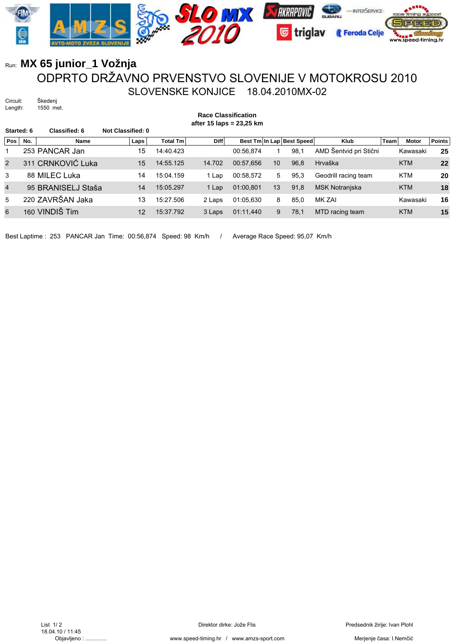

## Run: **MX 65 junior\_1 Vožnja** ODPRTO DRŽAVNO PRVENSTVO SLOVENIJE V MOTOKROSU 2010 SLOVENSKE KONJICE 18.04.2010MX-02

Circuit: Škedenj<br>Length: 1550 m 1550 met.

**Race Classification after 15 laps = 23,25 km**

| Started: 6     |     | <b>Classified: 6</b> | Not Classified: 0 |                 |             |           |    |                           |                        |      |            |               |
|----------------|-----|----------------------|-------------------|-----------------|-------------|-----------|----|---------------------------|------------------------|------|------------|---------------|
| Pos            | No. | Name                 | Laps              | <b>Total Tm</b> | <b>Diff</b> |           |    | Best Tm In Lap Best Speed | Klub                   | Team | Motor      | <b>Points</b> |
|                |     | 253 PANCAR Jan       | 15                | 14:40.423       |             | 00:56.874 |    | 98.1                      | AMD Šentvid pri Stični |      | Kawasaki   | 25            |
| 2              |     | 311 CRNKOVIĆ Luka    | 15                | 14:55.125       | 14.702      | 00:57.656 | 10 | 96.8                      | Hrvaška                |      | <b>KTM</b> | 22            |
| 3              |     | 88 MILEC Luka        | 14                | 15:04.159       | 1 Lap       | 00:58.572 | 5  | 95,3                      | Geodrill racing team   |      | <b>KTM</b> | 20            |
| $\overline{4}$ |     | 95 BRANISELJ Staša   | 14                | 15:05.297       | 1 Lap       | 01:00,801 | 13 | 91,8                      | <b>MSK Notranjska</b>  |      | <b>KTM</b> | 18            |
| 5              |     | 220 ZAVRŠAN Jaka     | 13                | 15:27.506       | 2 Laps      | 01:05.630 | 8  | 85.0                      | MK ZAI                 |      | Kawasaki   | 16            |
| 6              |     | 160 VINDIŠ Tim       | 12                | 15:37.792       | 3 Laps      | 01:11,440 | 9  | 78,1                      | MTD racing team        |      | <b>KTM</b> | 15            |

Best Laptime : 253 PANCAR Jan Time: 00:56,874 Speed: 98 Km/h / Average Race Speed: 95,07 Km/h